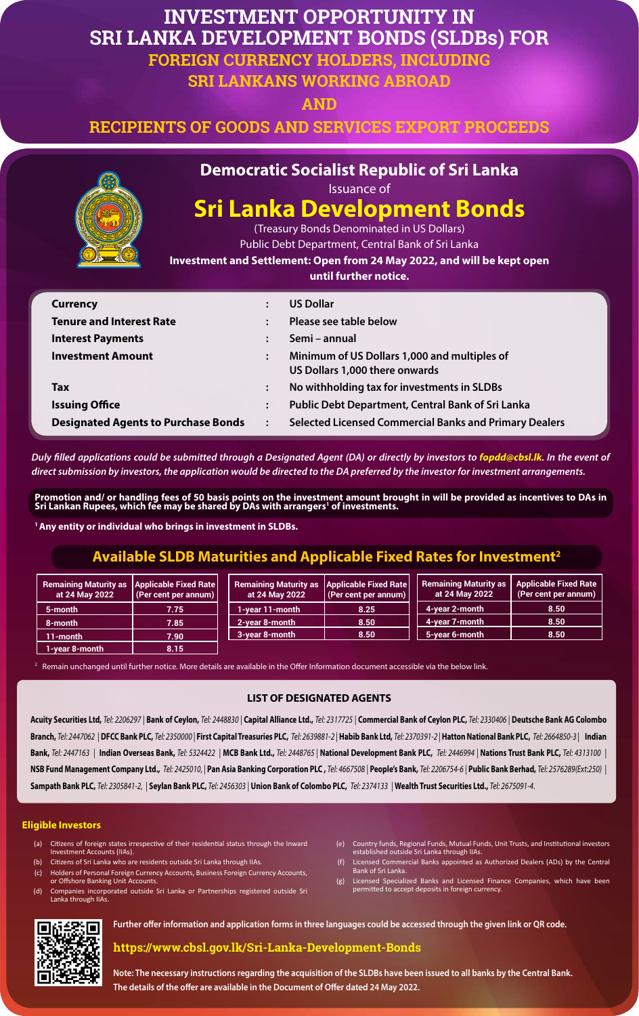# **INVESTMENT OPPORTUNITY IN SRI LANKA DEVELOPMENT BONDS (SLDBs) FOR FOREIGN CURRENCY HOLDERS, INCLUDING SRI LANKANS WORKING ABROAD**

**AND** 

**RECIPIENTS OF GOODS AND SERVICES EXPORT PROCEEDS** 



## **Democratic Socialist Republic of Sri Lanka**

Issuance of

# **Sri Lanka Development Bonds**

(Treasury Bonds Denominated in US Dollars)

Public Debt Department, Central Bank of Sri Lanka

**Investment and Settlement: Open from 24 May 2022, and will be kept open** 

**until further notice.** 

*Duly filled applications could be submitted through a Designated Agent (DA) or directly by investors to <i>fopdd@cbsl.lk*. In the event of *direct submission by investors, the application would be directed to the DA preferred by the investor for investment arrangements.* 

| <b>Currency</b>                            | $\ddot{\cdot}$ | <b>US Dollar</b>                                                               |
|--------------------------------------------|----------------|--------------------------------------------------------------------------------|
| <b>Tenure and Interest Rate</b>            | $\ddot{\cdot}$ | Please see table below                                                         |
| <b>Interest Payments</b>                   |                | Semi – annual                                                                  |
| <b>Investment Amount</b>                   | $\ddot{\cdot}$ | Minimum of US Dollars 1,000 and multiples of<br>US Dollars 1,000 there onwards |
| <b>Tax</b>                                 | $\ddot{\cdot}$ | No withholding tax for investments in SLDBs                                    |
| <b>Issuing Office</b>                      | $\ddot{\cdot}$ | <b>Public Debt Department, Central Bank of Sri Lanka</b>                       |
| <b>Designated Agents to Purchase Bonds</b> | $\ddot{\cdot}$ | <b>Selected Licensed Commercial Banks and Primary Dealers</b>                  |

**Promotion and/ or handling fees of 50 basis points on the investment amount brought in will be provided as incentives to DAs in Sri Lankan Rupees, which fee may be shared by DAs with arrangers1 of investments.**

**1 Any entity or individual who brings in investment in SLDBs.**

**Note: The necessary instructions regarding the acquisition of the SLDBs have been issued to all banks by the Central Bank. The details of the offer are available in the Document of Offer dated 24 May 2022.**

Acuity Securities Ltd, Tel: 2206297 | Bank of Ceylon, Tel: 2448830 | Capital Alliance Ltd., Tel: 2317725 | Commercial Bank of Ceylon PLC, Tel: 2330406 | Deutsche Bank AG Colombo Branch, Tel: 2447062 | DFCC Bank PLC, Tel: 2350000 | First Capital Treasuries PLC, Tel: 2639881-2 | Habib Bank Ltd, Tel: 2370391-2 | Hatton National Bank PLC, Tel: 2664850-3 | Indian Bank, Tel: 2447163 | Indian Overseas Bank, Tel: 5324422 | MCB Bank Ltd., Tel: 2448765 | National Development Bank PLC, Tel: 2446994 | Nations Trust Bank PLC, Tel: 4313100 | NSB Fund Management Company Ltd., Tel: 2425010, | Pan Asia Banking Corporation PLC, Tel: 4667508 | People's Bank, Tel: 2206754-6 | Public Bank Berhad, Tel: 2576289(Ext:250) | **Sampath Bank PLC,** *Tel: 2305841-2,* | **Seylan Bank PLC,** *Tel: 2456303* | **Union Bank of Colombo PLC,** *Tel: 2374133* | **Wealth Trust Securities Ltd.,** *Tel: 2675091-4*.

**Further offer information and application forms in three languages could be accessed through the given link or QR code.** 

## **https://www.cbsl.gov.lk/Sri-Lanka-Development-Bonds**

## **Available SLDB Maturities and Applicable Fixed Rates for Investment2**

- (a) Citizens of foreign states irrespective of their residential status through the Inward Investment Accounts (IIAs).
- (b) Citizens of Sri Lanka who are residents outside Sri Lanka through IIAs.
- Holders of Personal Foreign Currency Accounts, Business Foreign Currency Accounts, or Offshore Banking Unit Accounts.
- (d) Companies incorporated outside Sri Lanka or Partnerships registered outside Sri Lanka through IIAs.
- (e) Country funds, Regional Funds, Mutual Funds, Unit Trusts, and Institutional investors established outside Sri Lanka through IIAs.
- (f) Licensed Commercial Banks appointed as Authorized Dealers (ADs) by the Central Bank of Sri Lanka.
- (g) Licensed Specialized Banks and Licensed Finance Companies, which have been permitted to accept deposits in foreign currency.



| <b>Remaining Maturity as</b><br>at 24 May 2022 | <b>Applicable Fixed Rate</b><br>$\vert$ (Per cent per annum) $\vert$ | <b>Remaining Maturity as</b><br>at 24 May 2022 | <b>Applicable Fixed Rate</b><br>(Per cent per annum) $ $ | <b>Remaining Maturity as</b><br>at 24 May 2022 | <b>Applicable Fixed Rate</b><br>(Per cent per annum) |
|------------------------------------------------|----------------------------------------------------------------------|------------------------------------------------|----------------------------------------------------------|------------------------------------------------|------------------------------------------------------|
| 5-month                                        | 7.75                                                                 | 1-year 11-month                                | 8.25                                                     | 4-year 2-month                                 | 8.50                                                 |
| 8-month                                        | 7.85                                                                 | 2-year 8-month                                 | 8.50                                                     | 4-year 7-month                                 | 8.50                                                 |
| 11-month                                       | 7.90                                                                 | 3-year 8-month                                 | 8.50                                                     | 5-year 6-month                                 | 8.50                                                 |
| 1-year 8-month                                 | 8.15                                                                 |                                                |                                                          |                                                |                                                      |

<sup>2</sup> Remain unchanged until further notice. More details are available in the Offer Information document accessible via the below link.

### **LIST OF DESIGNATED AGENTS**

#### **Eligible Investors**